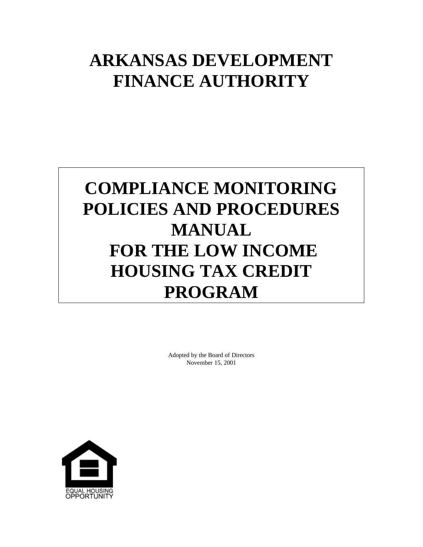# **ARKANSAS DEVELOPMENT FINANCE AUTHORITY**

# **COMPLIANCE MONITORING POLICIES AND PROCEDURES MANUAL FOR THE LOW INCOME HOUSING TAX CREDIT PROGRAM**

Adopted by the Board of Directors November 15, 2001

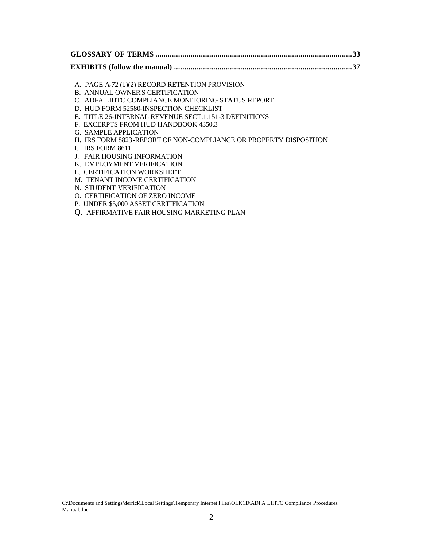A. PAGE A-72 (b)(2) RECORD RETENTION PROVISION

- B. ANNUAL OWNER'S CERTIFICATION
- C. ADFA LIHTC COMPLIANCE MONITORING STATUS REPORT
- D. HUD FORM 52580-INSPECTION CHECKLIST
- E. TITLE 26-INTERNAL REVENUE SECT.1.151-3 DEFINITIONS
- F. EXCERPTS FROM HUD HANDBOOK 4350.3
- G. SAMPLE APPLICATION
- H. IRS FORM 8823-REPORT OF NON-COMPLIANCE OR PROPERTY DISPOSITION
- I. IRS FORM 8611
- J. FAIR HOUSING INFORMATION
- K. EMPLOYMENT VERIFICATION
- L. CERTIFICATION WORKSHEET
- M. TENANT INCOME CERTIFICATION
- N. STUDENT VERIFICATION
- O. CERTIFICATION OF ZERO INCOME
- P. UNDER \$5,000 ASSET CERTIFICATION
- Q. AFFIRMATIVE FAIR HOUSING MARKETING PLAN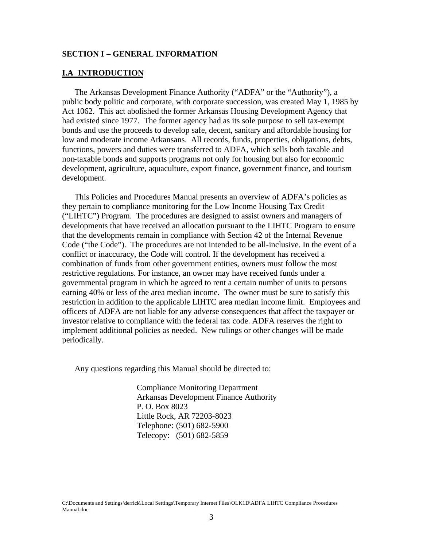#### **SECTION I – GENERAL INFORMATION**

#### **I.A INTRODUCTION**

The Arkansas Development Finance Authority ("ADFA" or the "Authority"), a public body politic and corporate, with corporate succession, was created May 1, 1985 by Act 1062. This act abolished the former Arkansas Housing Development Agency that had existed since 1977. The former agency had as its sole purpose to sell tax-exempt bonds and use the proceeds to develop safe, decent, sanitary and affordable housing for low and moderate income Arkansans. All records, funds, properties, obligations, debts, functions, powers and duties were transferred to ADFA, which sells both taxable and non-taxable bonds and supports programs not only for housing but also for economic development, agriculture, aquaculture, export finance, government finance, and tourism development.

This Policies and Procedures Manual presents an overview of ADFA's policies as they pertain to compliance monitoring for the Low Income Housing Tax Credit ("LIHTC") Program. The procedures are designed to assist owners and managers of developments that have received an allocation pursuant to the LIHTC Program to ensure that the developments remain in compliance with Section 42 of the Internal Revenue Code ("the Code"). The procedures are not intended to be all-inclusive. In the event of a conflict or inaccuracy, the Code will control. If the development has received a combination of funds from other government entities, owners must follow the most restrictive regulations. For instance, an owner may have received funds under a governmental program in which he agreed to rent a certain number of units to persons earning 40% or less of the area median income. The owner must be sure to satisfy this restriction in addition to the applicable LIHTC area median income limit. Employees and officers of ADFA are not liable for any adverse consequences that affect the taxpayer or investor relative to compliance with the federal tax code. ADFA reserves the right to implement additional policies as needed. New rulings or other changes will be made periodically.

Any questions regarding this Manual should be directed to:

Compliance Monitoring Department Arkansas Development Finance Authority P. O. Box 8023 Little Rock, AR 72203-8023 Telephone: (501) 682-5900 Telecopy: (501) 682-5859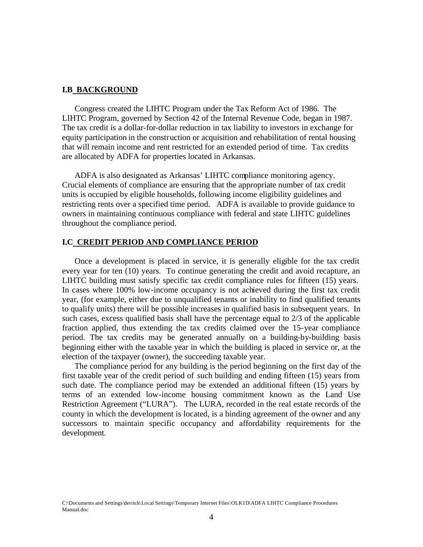#### **I.B BACKGROUND**

Congress created the LIHTC Program under the Tax Reform Act of 1986. The LIHTC Program, governed by Section 42 of the Internal Revenue Code, began in 1987. The tax credit is a dollar-for-dollar reduction in tax liability to investors in exchange for equity participation in the construction or acquisition and rehabilitation of rental housing that will remain income and rent restricted for an extended period of time. Tax credits are allocated by ADFA for properties located in Arkansas.

ADFA is also designated as Arkansas' LIHTC compliance monitoring agency. Crucial elements of compliance are ensuring that the appropriate number of tax credit units is occupied by eligible households, following income eligibility guidelines and restricting rents over a specified time period. ADFA is available to provide guidance to owners in maintaining continuous compliance with federal and state LIHTC guidelines throughout the compliance period.

#### **I.C CREDIT PERIOD AND COMPLIANCE PERIOD**

Once a development is placed in service, it is generally eligible for the tax credit every year for ten (10) years. To continue generating the credit and avoid recapture, an LIHTC building must satisfy specific tax credit compliance rules for fifteen (15) years. In cases where 100% low-income occupancy is not achieved during the first tax credit year, (for example, either due to unqualified tenants or inability to find qualified tenants to qualify units) there will be possible increases in qualified basis in subsequent years. In such cases, excess qualified basis shall have the percentage equal to 2/3 of the applicable fraction applied, thus extending the tax credits claimed over the 15-year compliance period. The tax credits may be generated annually on a building-by-building basis beginning either with the taxable year in which the building is placed in service or, at the election of the taxpayer (owner), the succeeding taxable year.

The compliance period for any building is the period beginning on the first day of the first taxable year of the credit period of such building and ending fifteen (15) years from such date. The compliance period may be extended an additional fifteen (15) years by terms of an extended low-income housing commitment known as the Land Use Restriction Agreement ("LURA"). The LURA, recorded in the real estate records of the county in which the development is located, is a binding agreement of the owner and any successors to maintain specific occupancy and affordability requirements for the development.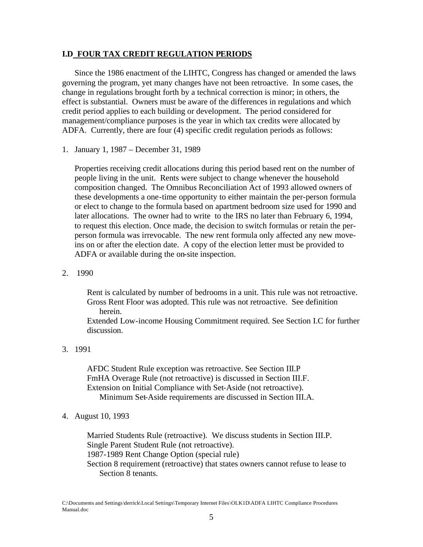#### **I.D FOUR TAX CREDIT REGULATION PERIODS**

Since the 1986 enactment of the LIHTC, Congress has changed or amended the laws governing the program, yet many changes have not been retroactive. In some cases, the change in regulations brought forth by a technical correction is minor; in others, the effect is substantial. Owners must be aware of the differences in regulations and which credit period applies to each building or development. The period considered for management/compliance purposes is the year in which tax credits were allocated by ADFA. Currently, there are four (4) specific credit regulation periods as follows:

1. January 1, 1987 – December 31, 1989

Properties receiving credit allocations during this period based rent on the number of people living in the unit. Rents were subject to change whenever the household composition changed. The Omnibus Reconciliation Act of 1993 allowed owners of these developments a one-time opportunity to either maintain the per-person formula or elect to change to the formula based on apartment bedroom size used for 1990 and later allocations. The owner had to write to the IRS no later than February 6, 1994, to request this election. Once made, the decision to switch formulas or retain the perperson formula was irrevocable. The new rent formula only affected any new moveins on or after the election date. A copy of the election letter must be provided to ADFA or available during the on-site inspection.

2. 1990

Rent is calculated by number of bedrooms in a unit. This rule was not retroactive. Gross Rent Floor was adopted. This rule was not retroactive. See definition herein.

Extended Low-income Housing Commitment required. See Section I.C for further discussion.

## 3. 1991

AFDC Student Rule exception was retroactive. See Section III.P FmHA Overage Rule (not retroactive) is discussed in Section III.F. Extension on Initial Compliance with Set-Aside (not retroactive). Minimum Set-Aside requirements are discussed in Section III.A.

4. August 10, 1993

Married Students Rule (retroactive). We discuss students in Section III.P. Single Parent Student Rule (not retroactive). 1987-1989 Rent Change Option (special rule) Section 8 requirement (retroactive) that states owners cannot refuse to lease to Section 8 tenants.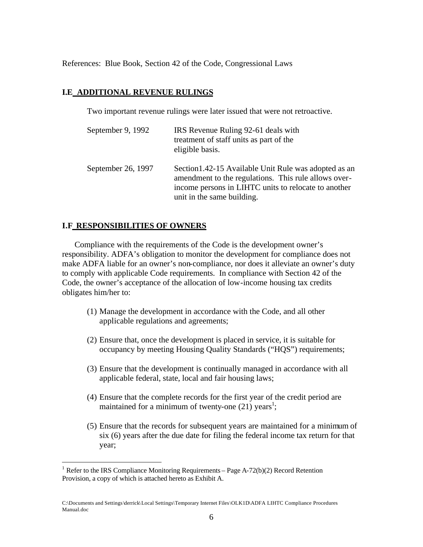References: Blue Book, Section 42 of the Code, Congressional Laws

## **I.E ADDITIONAL REVENUE RULINGS**

Two important revenue rulings were later issued that were not retroactive.

| September 9, 1992  | IRS Revenue Ruling 92-61 deals with<br>treatment of staff units as part of the<br>eligible basis.                                                                                                   |
|--------------------|-----------------------------------------------------------------------------------------------------------------------------------------------------------------------------------------------------|
| September 26, 1997 | Section 1.42-15 Available Unit Rule was adopted as an<br>amendment to the regulations. This rule allows over-<br>income persons in LIHTC units to relocate to another<br>unit in the same building. |

# **I.F RESPONSIBILITIES OF OWNERS**

1

Compliance with the requirements of the Code is the development owner's responsibility. ADFA's obligation to monitor the development for compliance does not make ADFA liable for an owner's non-compliance, nor does it alleviate an owner's duty to comply with applicable Code requirements. In compliance with Section 42 of the Code, the owner's acceptance of the allocation of low-income housing tax credits obligates him/her to:

- (1) Manage the development in accordance with the Code, and all other applicable regulations and agreements;
- (2) Ensure that, once the development is placed in service, it is suitable for occupancy by meeting Housing Quality Standards ("HQS") requirements;
- (3) Ensure that the development is continually managed in accordance with all applicable federal, state, local and fair housing laws;
- (4) Ensure that the complete records for the first year of the credit period are maintained for a minimum of twenty-one  $(21)$  years<sup>1</sup>;
- (5) Ensure that the records for subsequent years are maintained for a minimum of six (6) years after the due date for filing the federal income tax return for that year;

<sup>&</sup>lt;sup>1</sup> Refer to the IRS Compliance Monitoring Requirements – Page A-72(b)(2) Record Retention Provision, a copy of which is attached hereto as Exhibit A.

C:\Documents and Settings\derrick\Local Settings\Temporary Internet Files\OLK1D\ADFA LIHTC Compliance Procedures Manual.doc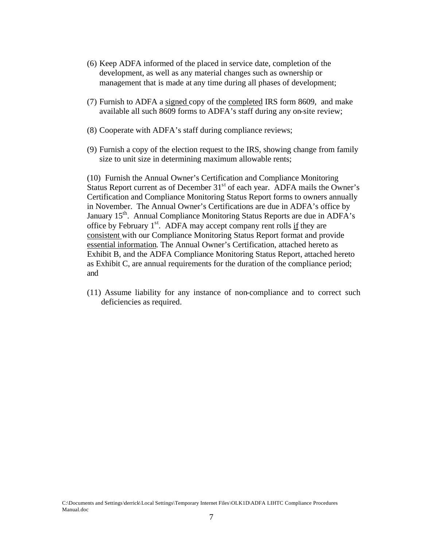- (6) Keep ADFA informed of the placed in service date, completion of the development, as well as any material changes such as ownership or management that is made at any time during all phases of development;
- (7) Furnish to ADFA a signed copy of the completed IRS form 8609, and make available all such 8609 forms to ADFA's staff during any on-site review;
- (8) Cooperate with ADFA's staff during compliance reviews;
- (9) Furnish a copy of the election request to the IRS, showing change from family size to unit size in determining maximum allowable rents;

(10) Furnish the Annual Owner's Certification and Compliance Monitoring Status Report current as of December  $31<sup>st</sup>$  of each year. ADFA mails the Owner's Certification and Compliance Monitoring Status Report forms to owners annually in November. The Annual Owner's Certifications are due in ADFA's office by January 15<sup>th</sup>. Annual Compliance Monitoring Status Reports are due in ADFA's office by February  $1<sup>st</sup>$ . ADFA may accept company rent rolls if they are consistent with our Compliance Monitoring Status Report format and provide essential information. The Annual Owner's Certification, attached hereto as Exhibit B, and the ADFA Compliance Monitoring Status Report, attached hereto as Exhibit C, are annual requirements for the duration of the compliance period; and

(11) Assume liability for any instance of non-compliance and to correct such deficiencies as required.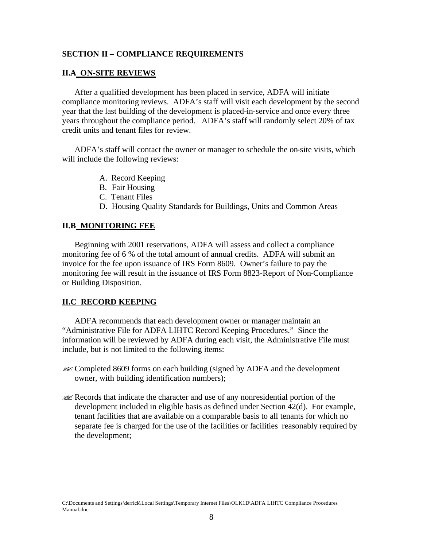## **SECTION II – COMPLIANCE REQUIREMENTS**

## **II.A ON-SITE REVIEWS**

After a qualified development has been placed in service, ADFA will initiate compliance monitoring reviews. ADFA's staff will visit each development by the second year that the last building of the development is placed-in-service and once every three years throughout the compliance period. ADFA's staff will randomly select 20% of tax credit units and tenant files for review.

ADFA's staff will contact the owner or manager to schedule the on-site visits, which will include the following reviews:

- A. Record Keeping
- B. Fair Housing
- C. Tenant Files
- D. Housing Quality Standards for Buildings, Units and Common Areas

## **II.B MONITORING FEE**

Beginning with 2001 reservations, ADFA will assess and collect a compliance monitoring fee of 6 % of the total amount of annual credits. ADFA will submit an invoice for the fee upon issuance of IRS Form 8609. Owner's failure to pay the monitoring fee will result in the issuance of IRS Form 8823-Report of Non-Compliance or Building Disposition.

# **II.C RECORD KEEPING**

ADFA recommends that each development owner or manager maintain an "Administrative File for ADFA LIHTC Record Keeping Procedures." Since the information will be reviewed by ADFA during each visit, the Administrative File must include, but is not limited to the following items:

- ??Completed 8609 forms on each building (signed by ADFA and the development owner, with building identification numbers);
- ??Records that indicate the character and use of any nonresidential portion of the development included in eligible basis as defined under Section 42(d). For example, tenant facilities that are available on a comparable basis to all tenants for which no separate fee is charged for the use of the facilities or facilities reasonably required by the development;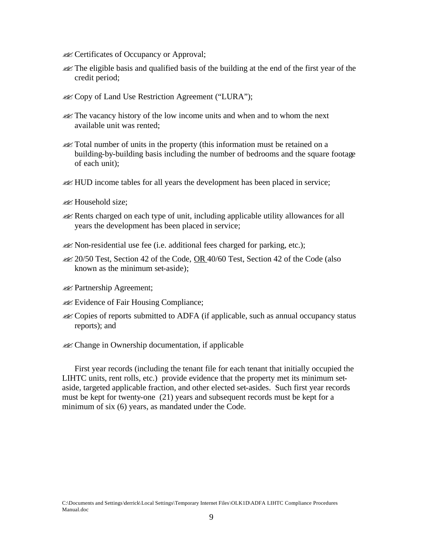- **EX** Certificates of Occupancy or Approval;
- **Example 1** and gualified basis of the building at the end of the first year of the credit period;
- **EX** Copy of Land Use Restriction Agreement ("LURA");
- **EX** The vacancy history of the low income units and when and to whom the next available unit was rented;
- **EX** Total number of units in the property (this information must be retained on a building-by-building basis including the number of bedrooms and the square footage of each unit);
- **EX** HUD income tables for all years the development has been placed in service;
- **EX** Household size;
- ??Rents charged on each type of unit, including applicable utility allowances for all years the development has been placed in service;
- $\mathcal{L}$  Non-residential use fee (i.e. additional fees charged for parking, etc.);
- $\mathcal{Z}$  20/50 Test, Section 42 of the Code, OR 40/60 Test, Section 42 of the Code (also known as the minimum set-aside);
- **Example 28 Partnership Agreement;**
- **Evidence of Fair Housing Compliance;**
- ??Copies of reports submitted to ADFA (if applicable, such as annual occupancy status reports); and
- **Example 12** Change in Ownership documentation, if applicable

First year records (including the tenant file for each tenant that initially occupied the LIHTC units, rent rolls, etc.) provide evidence that the property met its minimum setaside, targeted applicable fraction, and other elected set-asides. Such first year records must be kept for twenty-one (21) years and subsequent records must be kept for a minimum of six (6) years, as mandated under the Code.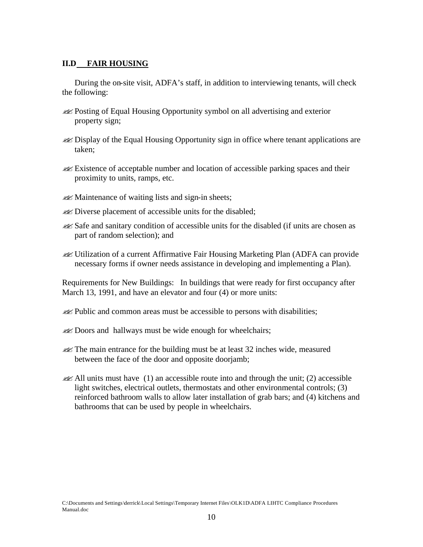## **II.D FAIR HOUSING**

During the on-site visit, ADFA's staff, in addition to interviewing tenants, will check the following:

- ??Posting of Equal Housing Opportunity symbol on all advertising and exterior property sign;
- **Example 1** Display of the Equal Housing Opportunity sign in office where tenant applications are taken;
- $\ll$  Existence of acceptable number and location of accessible parking spaces and their proximity to units, ramps, etc.
- $\mathscr{A}$  Maintenance of waiting lists and sign-in sheets;
- **EX** Diverse placement of accessible units for the disabled;
- ??Safe and sanitary condition of accessible units for the disabled (if units are chosen as part of random selection); and
- ??Utilization of a current Affirmative Fair Housing Marketing Plan (ADFA can provide necessary forms if owner needs assistance in developing and implementing a Plan).

Requirements for New Buildings: In buildings that were ready for first occupancy after March 13, 1991, and have an elevator and four (4) or more units:

- **EXECUTE:** Public and common areas must be accessible to persons with disabilities;
- **EX** Doors and hallways must be wide enough for wheelchairs;
- **EX** The main entrance for the building must be at least 32 inches wide, measured between the face of the door and opposite doorjamb;
- $\ll$  All units must have (1) an accessible route into and through the unit; (2) accessible light switches, electrical outlets, thermostats and other environmental controls; (3) reinforced bathroom walls to allow later installation of grab bars; and (4) kitchens and bathrooms that can be used by people in wheelchairs.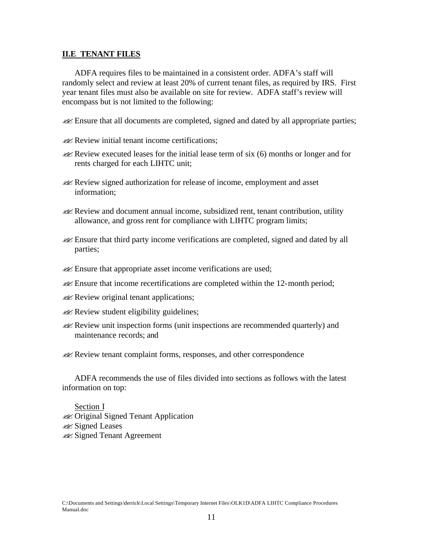#### **II.E TENANT FILES**

ADFA requires files to be maintained in a consistent order. ADFA's staff will randomly select and review at least 20% of current tenant files, as required by IRS. First year tenant files must also be available on site for review. ADFA staff's review will encompass but is not limited to the following:

??Ensure that all documents are completed, signed and dated by all appropriate parties;

- $\mathcal{L}$  Review initial tenant income certifications:
- $\lll$  Review executed leases for the initial lease term of six (6) months or longer and for rents charged for each LIHTC unit;
- ??Review signed authorization for release of income, employment and asset information;
- $\lll$  Review and document annual income, subsidized rent, tenant contribution, utility allowance, and gross rent for compliance with LIHTC program limits;
- ??Ensure that third party income verifications are completed, signed and dated by all parties;
- **Ensure that appropriate asset income verifications are used;**
- **Ensure that income recertifications are completed within the 12-month period;**
- **EX** Review original tenant applications;
- $\mathscr{A}$  Review student eligibility guidelines;
- ??Review unit inspection forms (unit inspections are recommended quarterly) and maintenance records; and

**EXACTER** Review tenant complaint forms, responses, and other correspondence

ADFA recommends the use of files divided into sections as follows with the latest information on top:

Section I **Example 3** Original Signed Tenant Application **226** Signed Leases **Example 3** Signed Tenant Agreement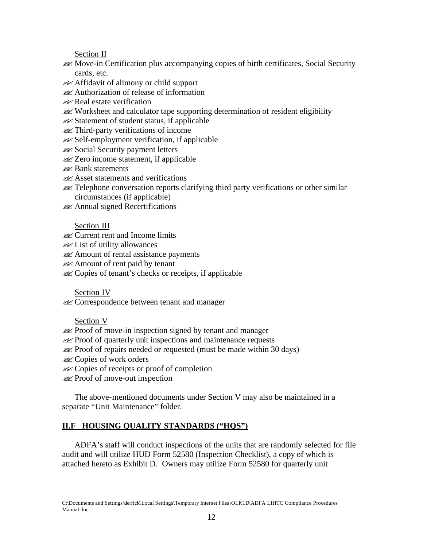Section II

- ??Move-in Certification plus accompanying copies of birth certificates, Social Security cards, etc.
- ??Affidavit of alimony or child support
- ??Authorization of release of information
- **EX** Real estate verification
- ??Worksheet and calculator tape supporting determination of resident eligibility
- **EX** Statement of student status, if applicable
- ??Third-party verifications of income
- ??Self-employment verification, if applicable
- **Example 3** Social Security payment letters
- **22** Zero income statement, if applicable
- **EX** Bank statements
- **EX** Asset statements and verifications
- ??Telephone conversation reports clarifying third party verifications or other similar circumstances (if applicable)
- **Example** Secretifications

# Section III

- **EX** Current rent and Income limits
- **Example** List of utility allowances
- ??Amount of rental assistance payments
- **EX** Amount of rent paid by tenant
- ??Copies of tenant's checks or receipts, if applicable

# Section IV

**EX** Correspondence between tenant and manager

# Section V

- **EX** Proof of move-in inspection signed by tenant and manager
- **EX** Proof of quarterly unit inspections and maintenance requests
- $\mathcal{L}$  Proof of repairs needed or requested (must be made within 30 days)
- **EX** Copies of work orders
- **EX** Copies of receipts or proof of completion
- **EX** Proof of move-out inspection

The above-mentioned documents under Section V may also be maintained in a separate "Unit Maintenance" folder.

# **II.F HOUSING QUALITY STANDARDS ("HQS")**

ADFA's staff will conduct inspections of the units that are randomly selected for file audit and will utilize HUD Form 52580 (Inspection Checklist), a copy of which is attached hereto as Exhibit D. Owners may utilize Form 52580 for quarterly unit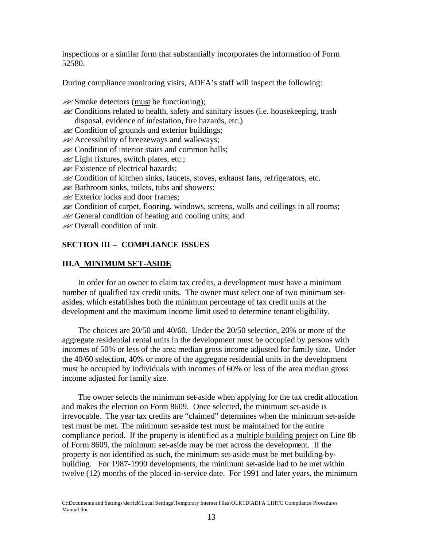inspections or a similar form that substantially incorporates the information of Form 52580.

During compliance monitoring visits, ADFA's staff will inspect the following:

- $\mathscr{L}$  Smoke detectors (must be functioning);
- ??Conditions related to health, safety and sanitary issues (i.e. housekeeping, trash disposal, evidence of infestation, fire hazards, etc.)
- **Example 3** Condition of grounds and exterior buildings;
- $\mathscr{A}$  Accessibility of breezeways and walkways;
- **Example 2** Condition of interior stairs and common halls;
- $\mathscr{A}$  Light fixtures, switch plates, etc.;
- **Existence of electrical hazards;**
- ??Condition of kitchen sinks, faucets, stoves, exhaust fans, refrigerators, etc.
- $\mathcal{L}$  Bathroom sinks, toilets, tubs and showers;
- **Exterior locks and door frames;**
- ??Condition of carpet, flooring, windows, screens, walls and ceilings in all rooms;
- **Example 3** General condition of heating and cooling units; and
- $\mathscr{A}$  Overall condition of unit.

## **SECTION III – COMPLIANCE ISSUES**

## **III.A MINIMUM SET-ASIDE**

In order for an owner to claim tax credits, a development must have a minimum number of qualified tax credit units. The owner must select one of two minimum setasides, which establishes both the minimum percentage of tax credit units at the development and the maximum income limit used to determine tenant eligibility.

The choices are 20/50 and 40/60. Under the 20/50 selection, 20% or more of the aggregate residential rental units in the development must be occupied by persons with incomes of 50% or less of the area median gross income adjusted for family size. Under the 40/60 selection, 40% or more of the aggregate residential units in the development must be occupied by individuals with incomes of 60% or less of the area median gross income adjusted for family size.

The owner selects the minimum set-aside when applying for the tax credit allocation and makes the election on Form 8609. Once selected, the minimum set-aside is irrevocable. The year tax credits are "claimed" determines when the minimum set-aside test must be met. The minimum set-aside test must be maintained for the entire compliance period. If the property is identified as a multiple building project on Line 8b of Form 8609, the minimum set-aside may be met across the development. If the property is not identified as such, the minimum set-aside must be met building-bybuilding. For 1987-1990 developments, the minimum set-aside had to be met within twelve (12) months of the placed-in-service date. For 1991 and later years, the minimum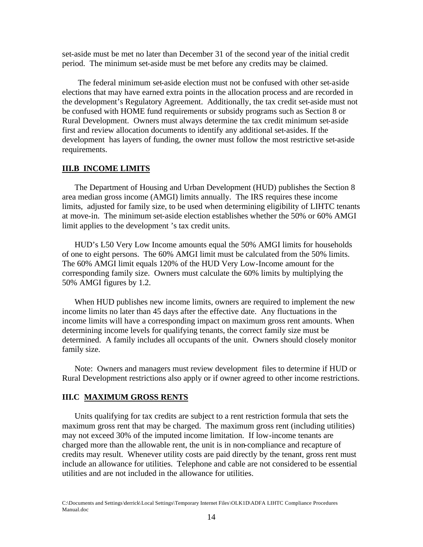set-aside must be met no later than December 31 of the second year of the initial credit period. The minimum set-aside must be met before any credits may be claimed.

The federal minimum set-aside election must not be confused with other set-aside elections that may have earned extra points in the allocation process and are recorded in the development's Regulatory Agreement. Additionally, the tax credit set-aside must not be confused with HOME fund requirements or subsidy programs such as Section 8 or Rural Development. Owners must always determine the tax credit minimum set-aside first and review allocation documents to identify any additional set-asides. If the development has layers of funding, the owner must follow the most restrictive set-aside requirements.

#### **III.B INCOME LIMITS**

The Department of Housing and Urban Development (HUD) publishes the Section 8 area median gross income (AMGI) limits annually. The IRS requires these income limits, adjusted for family size, to be used when determining eligibility of LIHTC tenants at move-in. The minimum set-aside election establishes whether the 50% or 60% AMGI limit applies to the development 's tax credit units.

HUD's L50 Very Low Income amounts equal the 50% AMGI limits for households of one to eight persons. The 60% AMGI limit must be calculated from the 50% limits. The 60% AMGI limit equals 120% of the HUD Very Low-Income amount for the corresponding family size. Owners must calculate the 60% limits by multiplying the 50% AMGI figures by 1.2.

When HUD publishes new income limits, owners are required to implement the new income limits no later than 45 days after the effective date. Any fluctuations in the income limits will have a corresponding impact on maximum gross rent amounts. When determining income levels for qualifying tenants, the correct family size must be determined. A family includes all occupants of the unit. Owners should closely monitor family size.

Note: Owners and managers must review development files to determine if HUD or Rural Development restrictions also apply or if owner agreed to other income restrictions.

#### **III.C MAXIMUM GROSS RENTS**

Units qualifying for tax credits are subject to a rent restriction formula that sets the maximum gross rent that may be charged. The maximum gross rent (including utilities) may not exceed 30% of the imputed income limitation. If low-income tenants are charged more than the allowable rent, the unit is in non-compliance and recapture of credits may result. Whenever utility costs are paid directly by the tenant, gross rent must include an allowance for utilities. Telephone and cable are not considered to be essential utilities and are not included in the allowance for utilities.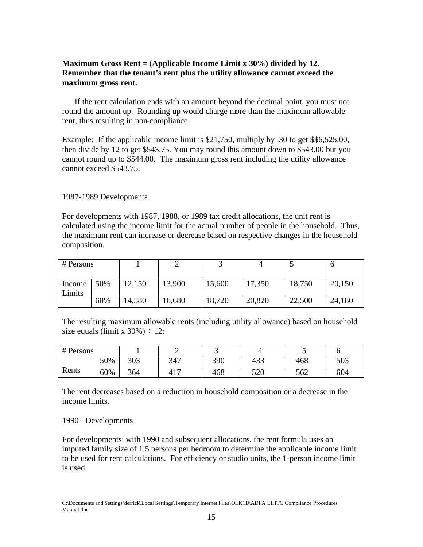# **Maximum Gross Rent = (Applicable Income Limit x 30%) divided by 12. Remember that the tenant's rent plus the utility allowance cannot exceed the maximum gross rent.**

If the rent calculation ends with an amount beyond the decimal point, you must not round the amount up. Rounding up would charge more than the maximum allowable rent, thus resulting in non-compliance.

Example: If the applicable income limit is \$21,750, multiply by .30 to get \$\$6,525.00, then divide by 12 to get \$543.75. You may round this amount down to \$543.00 but you cannot round up to \$544.00. The maximum gross rent including the utility allowance cannot exceed \$543.75.

## 1987-1989 Developments

For developments with 1987, 1988, or 1989 tax credit allocations, the unit rent is calculated using the income limit for the actual number of people in the household. Thus, the maximum rent can increase or decrease based on respective changes in the household composition.

| # Persons        |     |        |        |        |        |        |        |
|------------------|-----|--------|--------|--------|--------|--------|--------|
| Income<br>Limits | 50% | 12,150 | 13,900 | 15,600 | 17,350 | 18,750 | 20,150 |
|                  | 60% | 14,580 | 16,680 | 18,720 | 20,820 | 22,500 | 24,180 |

The resulting maximum allowable rents (including utility allowance) based on household size equals (limit x  $30\%$ ) ÷ 12:

| # Persons |     |     | -   | ັ   |     |     |     |
|-----------|-----|-----|-----|-----|-----|-----|-----|
|           | 50% | 303 | 347 | 390 | 433 | 468 | 503 |
| Rents     | 60% | 364 | 417 | 468 | 520 | 562 | 604 |

The rent decreases based on a reduction in household composition or a decrease in the income limits.

## 1990+ Developments

For developments with 1990 and subsequent allocations, the rent formula uses an imputed family size of 1.5 persons per bedroom to determine the applicable income limit to be used for rent calculations. For efficiency or studio units, the 1-person income limit is used.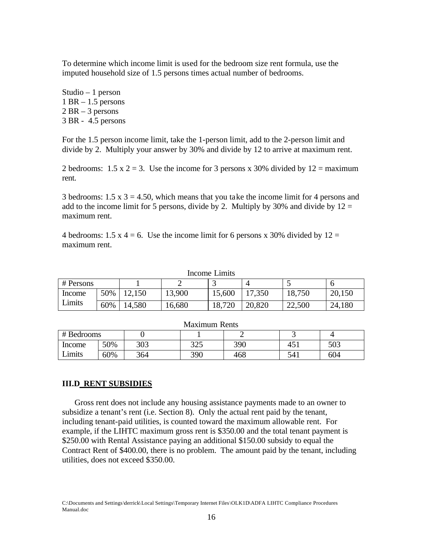To determine which income limit is used for the bedroom size rent formula, use the imputed household size of 1.5 persons times actual number of bedrooms.

Studio – 1 person 1 BR – 1.5 persons  $2 BR - 3$  persons 3 BR - 4.5 persons

For the 1.5 person income limit, take the 1-person limit, add to the 2-person limit and divide by 2. Multiply your answer by 30% and divide by 12 to arrive at maximum rent.

2 bedrooms:  $1.5 \times 2 = 3$ . Use the income for 3 persons x 30% divided by  $12 = \text{maximum}$ rent.

3 bedrooms:  $1.5 \times 3 = 4.50$ , which means that you take the income limit for 4 persons and add to the income limit for 5 persons, divide by 2. Multiply by 30% and divide by  $12 =$ maximum rent.

4 bedrooms: 1.5 x 4 = 6. Use the income limit for 6 persons x 30% divided by  $12 =$ maximum rent.

| Income Lumus |     |        |        |        |        |        |        |  |
|--------------|-----|--------|--------|--------|--------|--------|--------|--|
| # Persons    |     |        |        |        |        |        |        |  |
| Income       | 50% | 12,150 | 13,900 | 15,600 | 17,350 | 18,750 | 20,150 |  |
| Limits       | 60% | 14,580 | 6,680  | 18,720 | 20,820 | 22,500 | 24,180 |  |

| <b>Maximum Rents</b> |     |     |     |     |                 |     |  |
|----------------------|-----|-----|-----|-----|-----------------|-----|--|
| # Bedrooms           |     |     |     |     |                 |     |  |
| Income               | 50% | 303 | 325 | 390 |                 | 503 |  |
| Limits               | 60% | 364 | 390 | 468 | 54 <sub>1</sub> | 604 |  |

## **III.D RENT SUBSIDIES**

Gross rent does not include any housing assistance payments made to an owner to subsidize a tenant's rent (i.e. Section 8). Only the actual rent paid by the tenant, including tenant-paid utilities, is counted toward the maximum allowable rent. For example, if the LIHTC maximum gross rent is \$350.00 and the total tenant payment is \$250.00 with Rental Assistance paying an additional \$150.00 subsidy to equal the Contract Rent of \$400.00, there is no problem. The amount paid by the tenant, including utilities, does not exceed \$350.00.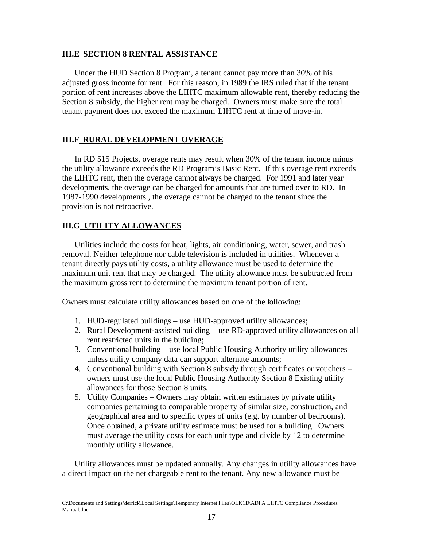## **III.E SECTION 8 RENTAL ASSISTANCE**

Under the HUD Section 8 Program, a tenant cannot pay more than 30% of his adjusted gross income for rent. For this reason, in 1989 the IRS ruled that if the tenant portion of rent increases above the LIHTC maximum allowable rent, thereby reducing the Section 8 subsidy, the higher rent may be charged. Owners must make sure the total tenant payment does not exceed the maximum LIHTC rent at time of move-in.

## **III.F RURAL DEVELOPMENT OVERAGE**

In RD 515 Projects, overage rents may result when 30% of the tenant income minus the utility allowance exceeds the RD Program's Basic Rent. If this overage rent exceeds the LIHTC rent, then the overage cannot always be charged. For 1991 and later year developments, the overage can be charged for amounts that are turned over to RD. In 1987-1990 developments , the overage cannot be charged to the tenant since the provision is not retroactive.

## **III.G UTILITY ALLOWANCES**

Utilities include the costs for heat, lights, air conditioning, water, sewer, and trash removal. Neither telephone nor cable television is included in utilities. Whenever a tenant directly pays utility costs, a utility allowance must be used to determine the maximum unit rent that may be charged. The utility allowance must be subtracted from the maximum gross rent to determine the maximum tenant portion of rent.

Owners must calculate utility allowances based on one of the following:

- 1. HUD-regulated buildings use HUD-approved utility allowances;
- 2. Rural Development-assisted building use RD-approved utility allowances on all rent restricted units in the building;
- 3. Conventional building use local Public Housing Authority utility allowances unless utility company data can support alternate amounts;
- 4. Conventional building with Section 8 subsidy through certificates or vouchers owners must use the local Public Housing Authority Section 8 Existing utility allowances for those Section 8 units.
- 5. Utility Companies Owners may obtain written estimates by private utility companies pertaining to comparable property of similar size, construction, and geographical area and to specific types of units (e.g. by number of bedrooms). Once obtained, a private utility estimate must be used for a building. Owners must average the utility costs for each unit type and divide by 12 to determine monthly utility allowance.

Utility allowances must be updated annually. Any changes in utility allowances have a direct impact on the net chargeable rent to the tenant. Any new allowance must be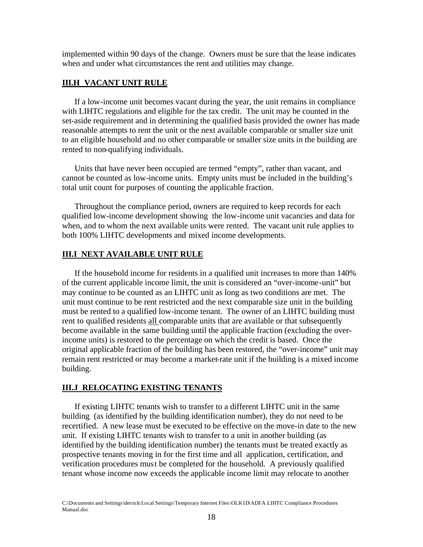implemented within 90 days of the change. Owners must be sure that the lease indicates when and under what circumstances the rent and utilities may change.

#### **III.H VACANT UNIT RULE**

If a low-income unit becomes vacant during the year, the unit remains in compliance with LIHTC regulations and eligible for the tax credit. The unit may be counted in the set-aside requirement and in determining the qualified basis provided the owner has made reasonable attempts to rent the unit or the next available comparable or smaller size unit to an eligible household and no other comparable or smaller size units in the building are rented to non-qualifying individuals.

Units that have never been occupied are termed "empty", rather than vacant, and cannot be counted as low-income units. Empty units must be included in the building's total unit count for purposes of counting the applicable fraction.

Throughout the compliance period, owners are required to keep records for each qualified low-income development showing the low-income unit vacancies and data for when, and to whom the next available units were rented. The vacant unit rule applies to both 100% LIHTC developments and mixed income developments.

#### **III.I NEXT AVAILABLE UNIT RULE**

If the household income for residents in a qualified unit increases to more than 140% of the current applicable income limit, the unit is considered an "over-income-unit" but may continue to be counted as an LIHTC unit as long as two conditions are met. The unit must continue to be rent restricted and the next comparable size unit in the building must be rented to a qualified low-income tenant. The owner of an LIHTC building must rent to qualified residents all comparable units that are available or that subsequently become available in the same building until the applicable fraction (excluding the overincome units) is restored to the percentage on which the credit is based. Once the original applicable fraction of the building has been restored, the "over-income" unit may remain rent restricted or may become a market-rate unit if the building is a mixed income building.

#### **III.J RELOCATING EXISTING TENANTS**

If existing LIHTC tenants wish to transfer to a different LIHTC unit in the same building (as identified by the building identification number), they do not need to be recertified. A new lease must be executed to be effective on the move-in date to the new unit. If existing LIHTC tenants wish to transfer to a unit in another building (as identified by the building identification number) the tenants must be treated exactly as prospective tenants moving in for the first time and all application, certification, and verification procedures must be completed for the household. A previously qualified tenant whose income now exceeds the applicable income limit may relocate to another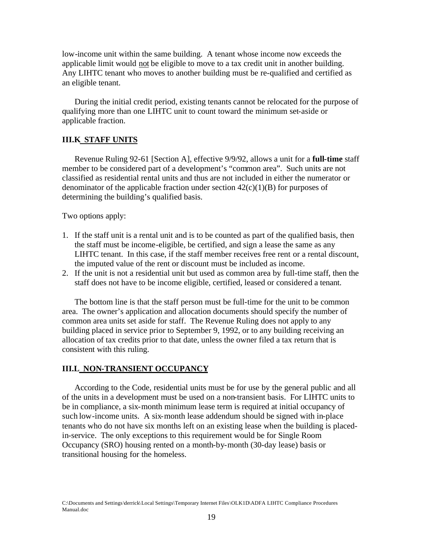low-income unit within the same building. A tenant whose income now exceeds the applicable limit would not be eligible to move to a tax credit unit in another building. Any LIHTC tenant who moves to another building must be re-qualified and certified as an eligible tenant.

During the initial credit period, existing tenants cannot be relocated for the purpose of qualifying more than one LIHTC unit to count toward the minimum set-aside or applicable fraction.

## **III.K STAFF UNITS**

Revenue Ruling 92-61 [Section A], effective 9/9/92, allows a unit for a **full-time** staff member to be considered part of a development's "common area". Such units are not classified as residential rental units and thus are not included in either the numerator or denominator of the applicable fraction under section  $42(c)(1)(B)$  for purposes of determining the building's qualified basis.

Two options apply:

- 1. If the staff unit is a rental unit and is to be counted as part of the qualified basis, then the staff must be income-eligible, be certified, and sign a lease the same as any LIHTC tenant. In this case, if the staff member receives free rent or a rental discount, the imputed value of the rent or discount must be included as income.
- 2. If the unit is not a residential unit but used as common area by full-time staff, then the staff does not have to be income eligible, certified, leased or considered a tenant.

The bottom line is that the staff person must be full-time for the unit to be common area. The owner's application and allocation documents should specify the number of common area units set aside for staff. The Revenue Ruling does not apply to any building placed in service prior to September 9, 1992, or to any building receiving an allocation of tax credits prior to that date, unless the owner filed a tax return that is consistent with this ruling.

#### **III.L NON-TRANSIENT OCCUPANCY**

According to the Code, residential units must be for use by the general public and all of the units in a development must be used on a non-transient basis. For LIHTC units to be in compliance, a six-month minimum lease term is required at initial occupancy of such low-income units. A six-month lease addendum should be signed with in-place tenants who do not have six months left on an existing lease when the building is placedin-service. The only exceptions to this requirement would be for Single Room Occupancy (SRO) housing rented on a month-by-month (30-day lease) basis or transitional housing for the homeless.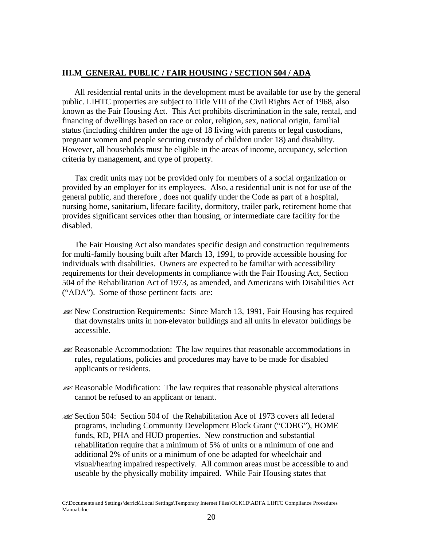## **III.M GENERAL PUBLIC / FAIR HOUSING / SECTION 504 / ADA**

All residential rental units in the development must be available for use by the general public. LIHTC properties are subject to Title VIII of the Civil Rights Act of 1968, also known as the Fair Housing Act. This Act prohibits discrimination in the sale, rental, and financing of dwellings based on race or color, religion, sex, national origin, familial status (including children under the age of 18 living with parents or legal custodians, pregnant women and people securing custody of children under 18) and disability. However, all households must be eligible in the areas of income, occupancy, selection criteria by management, and type of property.

Tax credit units may not be provided only for members of a social organization or provided by an employer for its employees. Also, a residential unit is not for use of the general public, and therefore , does not qualify under the Code as part of a hospital, nursing home, sanitarium, lifecare facility, dormitory, trailer park, retirement home that provides significant services other than housing, or intermediate care facility for the disabled.

The Fair Housing Act also mandates specific design and construction requirements for multi-family housing built after March 13, 1991, to provide accessible housing for individuals with disabilities. Owners are expected to be familiar with accessibility requirements for their developments in compliance with the Fair Housing Act, Section 504 of the Rehabilitation Act of 1973, as amended, and Americans with Disabilities Act ("ADA"). Some of those pertinent facts are:

- ??New Construction Requirements: Since March 13, 1991, Fair Housing has required that downstairs units in non-elevator buildings and all units in elevator buildings be accessible.
- **EX** Reasonable Accommodation: The law requires that reasonable accommodations in rules, regulations, policies and procedures may have to be made for disabled applicants or residents.
- $\mathscr{A}$  Reasonable Modification: The law requires that reasonable physical alterations cannot be refused to an applicant or tenant.
- ??Section 504: Section 504 of the Rehabilitation Ace of 1973 covers all federal programs, including Community Development Block Grant ("CDBG"), HOME funds, RD, PHA and HUD properties. New construction and substantial rehabilitation require that a minimum of 5% of units or a minimum of one and additional 2% of units or a minimum of one be adapted for wheelchair and visual/hearing impaired respectively. All common areas must be accessible to and useable by the physically mobility impaired. While Fair Housing states that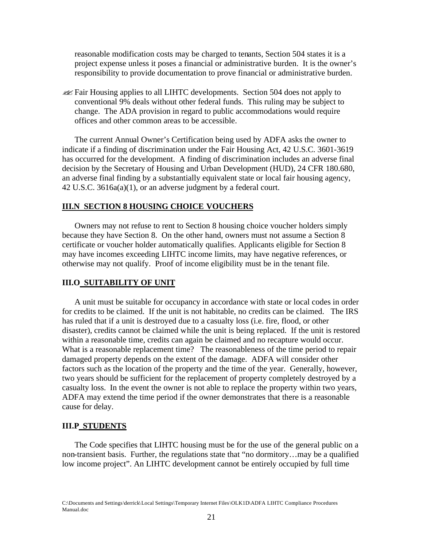reasonable modification costs may be charged to tenants, Section 504 states it is a project expense unless it poses a financial or administrative burden. It is the owner's responsibility to provide documentation to prove financial or administrative burden.

??Fair Housing applies to all LIHTC developments. Section 504 does not apply to conventional 9% deals without other federal funds. This ruling may be subject to change. The ADA provision in regard to public accommodations would require offices and other common areas to be accessible.

The current Annual Owner's Certification being used by ADFA asks the owner to indicate if a finding of discrimination under the Fair Housing Act, 42 U.S.C. 3601-3619 has occurred for the development. A finding of discrimination includes an adverse final decision by the Secretary of Housing and Urban Development (HUD), 24 CFR 180.680, an adverse final finding by a substantially equivalent state or local fair housing agency, 42 U.S.C. 3616a(a)(1), or an adverse judgment by a federal court.

#### **III.N SECTION 8 HOUSING CHOICE VOUCHERS**

Owners may not refuse to rent to Section 8 housing choice voucher holders simply because they have Section 8. On the other hand, owners must not assume a Section 8 certificate or voucher holder automatically qualifies. Applicants eligible for Section 8 may have incomes exceeding LIHTC income limits, may have negative references, or otherwise may not qualify. Proof of income eligibility must be in the tenant file.

#### **III.O SUITABILITY OF UNIT**

A unit must be suitable for occupancy in accordance with state or local codes in order for credits to be claimed. If the unit is not habitable, no credits can be claimed. The IRS has ruled that if a unit is destroyed due to a casualty loss (i.e. fire, flood, or other disaster), credits cannot be claimed while the unit is being replaced. If the unit is restored within a reasonable time, credits can again be claimed and no recapture would occur. What is a reasonable replacement time? The reasonableness of the time period to repair damaged property depends on the extent of the damage. ADFA will consider other factors such as the location of the property and the time of the year. Generally, however, two years should be sufficient for the replacement of property completely destroyed by a casualty loss. In the event the owner is not able to replace the property within two years, ADFA may extend the time period if the owner demonstrates that there is a reasonable cause for delay.

#### **III.P STUDENTS**

The Code specifies that LIHTC housing must be for the use of the general public on a non-transient basis. Further, the regulations state that "no dormitory…may be a qualified low income project". An LIHTC development cannot be entirely occupied by full time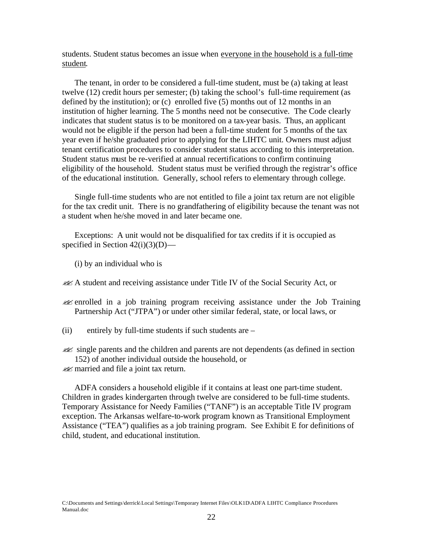students. Student status becomes an issue when everyone in the household is a full-time student.

The tenant, in order to be considered a full-time student, must be (a) taking at least twelve (12) credit hours per semester; (b) taking the school's full-time requirement (as defined by the institution); or (c) enrolled five (5) months out of 12 months in an institution of higher learning. The 5 months need not be consecutive. The Code clearly indicates that student status is to be monitored on a tax-year basis. Thus, an applicant would not be eligible if the person had been a full-time student for 5 months of the tax year even if he/she graduated prior to applying for the LIHTC unit. Owners must adjust tenant certification procedures to consider student status according to this interpretation. Student status must be re-verified at annual recertifications to confirm continuing eligibility of the household. Student status must be verified through the registrar's office of the educational institution. Generally, school refers to elementary through college.

Single full-time students who are not entitled to file a joint tax return are not eligible for the tax credit unit. There is no grandfathering of eligibility because the tenant was not a student when he/she moved in and later became one.

Exceptions: A unit would not be disqualified for tax credits if it is occupied as specified in Section  $42(i)(3)(D)$ —

(i) by an individual who is

??A student and receiving assistance under Title IV of the Social Security Act, or

??enrolled in a job training program receiving assistance under the Job Training Partnership Act ("JTPA") or under other similar federal, state, or local laws, or

(ii) entirely by full-time students if such students are –

**Example parents and the children and parents are not dependents (as defined in section** 152) of another individual outside the household, or

**EX** married and file a joint tax return.

ADFA considers a household eligible if it contains at least one part-time student. Children in grades kindergarten through twelve are considered to be full-time students. Temporary Assistance for Needy Families ("TANF") is an acceptable Title IV program exception. The Arkansas welfare-to-work program known as Transitional Employment Assistance ("TEA") qualifies as a job training program. See Exhibit E for definitions of child, student, and educational institution.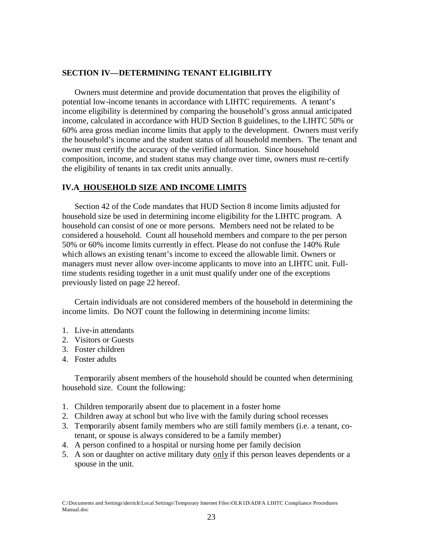## **SECTION IV—DETERMINING TENANT ELIGIBILITY**

Owners must determine and provide documentation that proves the eligibility of potential low-income tenants in accordance with LIHTC requirements. A tenant's income eligibility is determined by comparing the household's gross annual anticipated income, calculated in accordance with HUD Section 8 guidelines, to the LIHTC 50% or 60% area gross median income limits that apply to the development. Owners must verify the household's income and the student status of all household members. The tenant and owner must certify the accuracy of the verified information. Since household composition, income, and student status may change over time, owners must re-certify the eligibility of tenants in tax credit units annually.

## **IV.A HOUSEHOLD SIZE AND INCOME LIMITS**

Section 42 of the Code mandates that HUD Section 8 income limits adjusted for household size be used in determining income eligibility for the LIHTC program. A household can consist of one or more persons. Members need not be related to be considered a household. Count all household members and compare to the per person 50% or 60% income limits currently in effect. Please do not confuse the 140% Rule which allows an existing tenant's income to exceed the allowable limit. Owners or managers must never allow over-income applicants to move into an LIHTC unit. Fulltime students residing together in a unit must qualify under one of the exceptions previously listed on page 22 hereof.

Certain individuals are not considered members of the household in determining the income limits. Do NOT count the following in determining income limits:

- 1. Live-in attendants
- 2. Visitors or Guests
- 3. Foster children
- 4. Foster adults

Temporarily absent members of the household should be counted when determining household size. Count the following:

- 1. Children temporarily absent due to placement in a foster home
- 2. Children away at school but who live with the family during school recesses
- 3. Temporarily absent family members who are still family members (i.e. a tenant, cotenant, or spouse is always considered to be a family member)
- 4. A person confined to a hospital or nursing home per family decision
- 5. A son or daughter on active military duty only if this person leaves dependents or a spouse in the unit.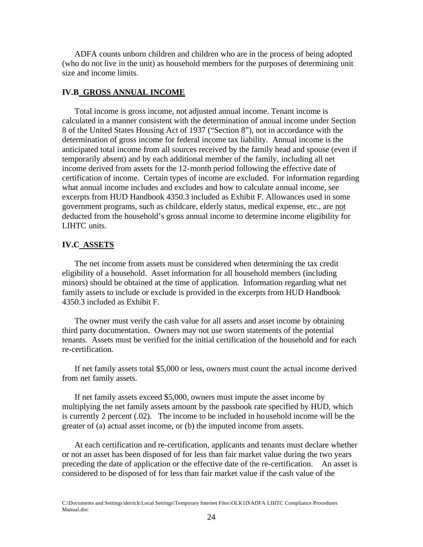ADFA counts unborn children and children who are in the process of being adopted (who do not live in the unit) as household members for the purposes of determining unit size and income limits.

#### **IV.B GROSS ANNUAL INCOME**

Total income is gross income, not adjusted annual income. Tenant income is calculated in a manner consistent with the determination of annual income under Section 8 of the United States Housing Act of 1937 ("Section 8"), not in accordance with the determination of gross income for federal income tax liability. Annual income is the anticipated total income from all sources received by the family head and spouse (even if temporarily absent) and by each additional member of the family, including all net income derived from assets for the 12-month period following the effective date of certification of income. Certain types of income are excluded. For information regarding what annual income includes and excludes and how to calculate annual income, see excerpts from HUD Handbook 4350.3 included as Exhibit F. Allowances used in some government programs, such as childcare, elderly status, medical expense, etc., are not deducted from the household's gross annual income to determine income eligibility for LIHTC units.

#### **IV.C ASSETS**

The net income from assets must be considered when determining the tax credit eligibility of a household. Asset information for all household members (including minors) should be obtained at the time of application. Information regarding what net family assets to include or exclude is provided in the excerpts from HUD Handbook 4350.3 included as Exhibit F.

The owner must verify the cash value for all assets and asset income by obtaining third party documentation. Owners may not use sworn statements of the potential tenants. Assets must be verified for the initial certification of the household and for each re-certification.

If net family assets total \$5,000 or less, owners must count the actual income derived from net family assets.

If net family assets exceed \$5,000, owners must impute the asset income by multiplying the net family assets amount by the passbook rate specified by HUD, which is currently 2 percent (.02). The income to be included in household income will be the greater of (a) actual asset income, or (b) the imputed income from assets.

At each certification and re-certification, applicants and tenants must declare whether or not an asset has been disposed of for less than fair market value during the two years preceding the date of application or the effective date of the re-certification. An asset is considered to be disposed of for less than fair market value if the cash value of the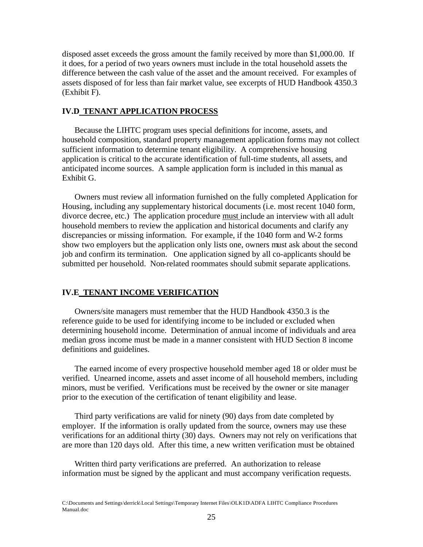disposed asset exceeds the gross amount the family received by more than \$1,000.00. If it does, for a period of two years owners must include in the total household assets the difference between the cash value of the asset and the amount received. For examples of assets disposed of for less than fair market value, see excerpts of HUD Handbook 4350.3 (Exhibit F).

#### **IV.D TENANT APPLICATION PROCESS**

Because the LIHTC program uses special definitions for income, assets, and household composition, standard property management application forms may not collect sufficient information to determine tenant eligibility. A comprehensive housing application is critical to the accurate identification of full-time students, all assets, and anticipated income sources. A sample application form is included in this manual as Exhibit G.

Owners must review all information furnished on the fully completed Application for Housing, including any supplementary historical documents (i.e. most recent 1040 form, divorce decree, etc.) The application procedure must include an interview with all adult household members to review the application and historical documents and clarify any discrepancies or missing information. For example, if the 1040 form and W-2 forms show two employers but the application only lists one, owners must ask about the second job and confirm its termination. One application signed by all co-applicants should be submitted per household. Non-related roommates should submit separate applications.

## **IV.E TENANT INCOME VERIFICATION**

Owners/site managers must remember that the HUD Handbook 4350.3 is the reference guide to be used for identifying income to be included or excluded when determining household income. Determination of annual income of individuals and area median gross income must be made in a manner consistent with HUD Section 8 income definitions and guidelines.

The earned income of every prospective household member aged 18 or older must be verified. Unearned income, assets and asset income of all household members, including minors, must be verified. Verifications must be received by the owner or site manager prior to the execution of the certification of tenant eligibility and lease.

Third party verifications are valid for ninety (90) days from date completed by employer. If the information is orally updated from the source, owners may use these verifications for an additional thirty (30) days. Owners may not rely on verifications that are more than 120 days old. After this time, a new written verification must be obtained

Written third party verifications are preferred. An authorization to release information must be signed by the applicant and must accompany verification requests.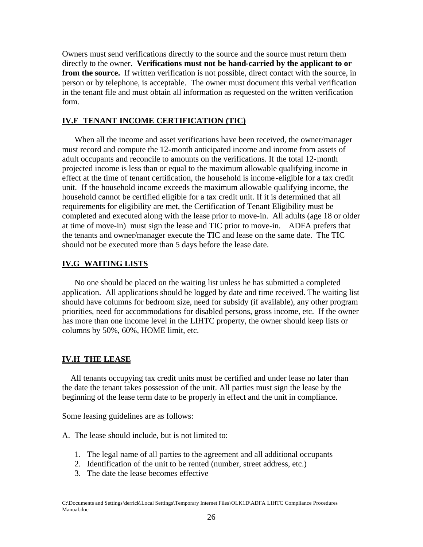Owners must send verifications directly to the source and the source must return them directly to the owner. **Verifications must not be hand-carried by the applicant to or from the source.** If written verification is not possible, direct contact with the source, in person or by telephone, is acceptable. The owner must document this verbal verification in the tenant file and must obtain all information as requested on the written verification form.

## **IV.F TENANT INCOME CERTIFICATION (TIC)**

When all the income and asset verifications have been received, the owner/manager must record and compute the 12-month anticipated income and income from assets of adult occupants and reconcile to amounts on the verifications. If the total 12-month projected income is less than or equal to the maximum allowable qualifying income in effect at the time of tenant certification, the household is income-eligible for a tax credit unit. If the household income exceeds the maximum allowable qualifying income, the household cannot be certified eligible for a tax credit unit. If it is determined that all requirements for eligibility are met, the Certification of Tenant Eligibility must be completed and executed along with the lease prior to move-in. All adults (age 18 or older at time of move-in) must sign the lease and TIC prior to move-in. ADFA prefers that the tenants and owner/manager execute the TIC and lease on the same date. The TIC should not be executed more than 5 days before the lease date.

#### **IV.G WAITING LISTS**

No one should be placed on the waiting list unless he has submitted a completed application. All applications should be logged by date and time received. The waiting list should have columns for bedroom size, need for subsidy (if available), any other program priorities, need for accommodations for disabled persons, gross income, etc. If the owner has more than one income level in the LIHTC property, the owner should keep lists or columns by 50%, 60%, HOME limit, etc.

#### **IV.H THE LEASE**

 All tenants occupying tax credit units must be certified and under lease no later than the date the tenant takes possession of the unit. All parties must sign the lease by the beginning of the lease term date to be properly in effect and the unit in compliance.

Some leasing guidelines are as follows:

- A. The lease should include, but is not limited to:
	- 1. The legal name of all parties to the agreement and all additional occupants
	- 2. Identification of the unit to be rented (number, street address, etc.)
	- 3. The date the lease becomes effective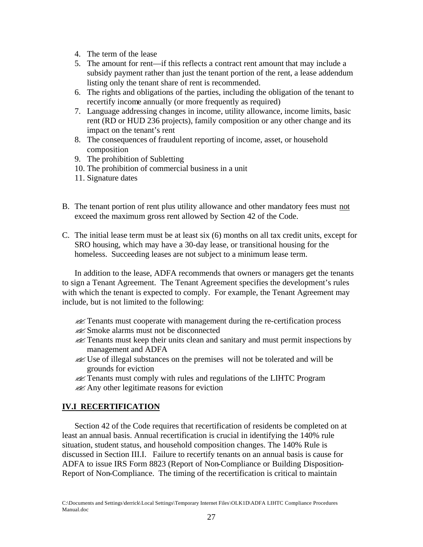- 4. The term of the lease
- 5. The amount for rent—if this reflects a contract rent amount that may include a subsidy payment rather than just the tenant portion of the rent, a lease addendum listing only the tenant share of rent is recommended.
- 6. The rights and obligations of the parties, including the obligation of the tenant to recertify income annually (or more frequently as required)
- 7. Language addressing changes in income, utility allowance, income limits, basic rent (RD or HUD 236 projects), family composition or any other change and its impact on the tenant's rent
- 8. The consequences of fraudulent reporting of income, asset, or household composition
- 9. The prohibition of Subletting
- 10. The prohibition of commercial business in a unit
- 11. Signature dates
- B. The tenant portion of rent plus utility allowance and other mandatory fees must not exceed the maximum gross rent allowed by Section 42 of the Code.
- C. The initial lease term must be at least six (6) months on all tax credit units, except for SRO housing, which may have a 30-day lease, or transitional housing for the homeless. Succeeding leases are not subject to a minimum lease term.

In addition to the lease, ADFA recommends that owners or managers get the tenants to sign a Tenant Agreement. The Tenant Agreement specifies the development's rules with which the tenant is expected to comply. For example, the Tenant Agreement may include, but is not limited to the following:

- ??Tenants must cooperate with management during the re-certification process
- ??Smoke alarms must not be disconnected
- ??Tenants must keep their units clean and sanitary and must permit inspections by management and ADFA
- ??Use of illegal substances on the premises will not be tolerated and will be grounds for eviction
- **EX** Tenants must comply with rules and regulations of the LIHTC Program
- $\mathscr{A}$  Any other legitimate reasons for eviction

# **IV.I RECERTIFICATION**

Section 42 of the Code requires that recertification of residents be completed on at least an annual basis. Annual recertification is crucial in identifying the 140% rule situation, student status, and household composition changes. The 140% Rule is discussed in Section III.I. Failure to recertify tenants on an annual basis is cause for ADFA to issue IRS Form 8823 (Report of Non-Compliance or Building Disposition-Report of Non-Compliance. The timing of the recertification is critical to maintain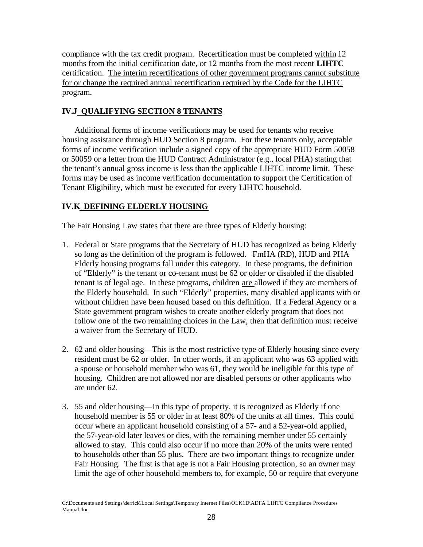compliance with the tax credit program. Recertification must be completed within 12 months from the initial certification date, or 12 months from the most recent **LIHTC** certification. The interim recertifications of other government programs cannot substitute for or change the required annual recertification required by the Code for the LIHTC program.

# **IV.J QUALIFYING SECTION 8 TENANTS**

Additional forms of income verifications may be used for tenants who receive housing assistance through HUD Section 8 program. For these tenants only, acceptable forms of income verification include a signed copy of the appropriate HUD Form 50058 or 50059 or a letter from the HUD Contract Administrator (e.g., local PHA) stating that the tenant's annual gross income is less than the applicable LIHTC income limit. These forms may be used as income verification documentation to support the Certification of Tenant Eligibility, which must be executed for every LIHTC household.

# **IV.K DEFINING ELDERLY HOUSING**

The Fair Housing Law states that there are three types of Elderly housing:

- 1. Federal or State programs that the Secretary of HUD has recognized as being Elderly so long as the definition of the program is followed. FmHA (RD), HUD and PHA Elderly housing programs fall under this category. In these programs, the definition of "Elderly" is the tenant or co-tenant must be 62 or older or disabled if the disabled tenant is of legal age. In these programs, children are allowed if they are members of the Elderly household. In such "Elderly" properties, many disabled applicants with or without children have been housed based on this definition. If a Federal Agency or a State government program wishes to create another elderly program that does not follow one of the two remaining choices in the Law, then that definition must receive a waiver from the Secretary of HUD.
- 2. 62 and older housing—This is the most restrictive type of Elderly housing since every resident must be 62 or older. In other words, if an applicant who was 63 applied with a spouse or household member who was 61, they would be ineligible for this type of housing. Children are not allowed nor are disabled persons or other applicants who are under 62.
- 3. 55 and older housing—In this type of property, it is recognized as Elderly if one household member is 55 or older in at least 80% of the units at all times. This could occur where an applicant household consisting of a 57- and a 52-year-old applied, the 57-year-old later leaves or dies, with the remaining member under 55 certainly allowed to stay. This could also occur if no more than 20% of the units were rented to households other than 55 plus. There are two important things to recognize under Fair Housing. The first is that age is not a Fair Housing protection, so an owner may limit the age of other household members to, for example, 50 or require that everyone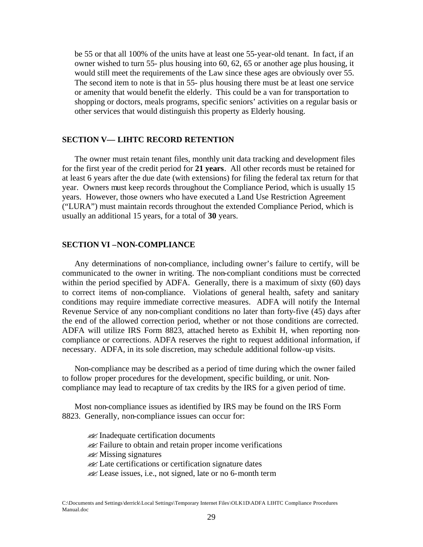be 55 or that all 100% of the units have at least one 55-year-old tenant. In fact, if an owner wished to turn 55- plus housing into 60, 62, 65 or another age plus housing, it would still meet the requirements of the Law since these ages are obviously over 55. The second item to note is that in 55- plus housing there must be at least one service or amenity that would benefit the elderly. This could be a van for transportation to shopping or doctors, meals programs, specific seniors' activities on a regular basis or other services that would distinguish this property as Elderly housing.

#### **SECTION V— LIHTC RECORD RETENTION**

The owner must retain tenant files, monthly unit data tracking and development files for the first year of the credit period for **21 years**. All other records must be retained for at least 6 years after the due date (with extensions) for filing the federal tax return for that year. Owners must keep records throughout the Compliance Period, which is usually 15 years. However, those owners who have executed a Land Use Restriction Agreement ("LURA") must maintain records throughout the extended Compliance Period, which is usually an additional 15 years, for a total of **30** years.

#### **SECTION VI –NON-COMPLIANCE**

Any determinations of non-compliance, including owner's failure to certify, will be communicated to the owner in writing. The non-compliant conditions must be corrected within the period specified by ADFA. Generally, there is a maximum of sixty (60) days to correct items of non-compliance. Violations of general health, safety and sanitary conditions may require immediate corrective measures. ADFA will notify the Internal Revenue Service of any non-compliant conditions no later than forty-five (45) days after the end of the allowed correction period, whether or not those conditions are corrected. ADFA will utilize IRS Form 8823, attached hereto as Exhibit H, when reporting noncompliance or corrections. ADFA reserves the right to request additional information, if necessary. ADFA, in its sole discretion, may schedule additional follow-up visits.

Non-compliance may be described as a period of time during which the owner failed to follow proper procedures for the development, specific building, or unit. Noncompliance may lead to recapture of tax credits by the IRS for a given period of time.

Most non-compliance issues as identified by IRS may be found on the IRS Form 8823. Generally, non-compliance issues can occur for:

**Example 1** Inadequate certification documents

??Failure to obtain and retain proper income verifications

- ??Missing signatures
- ??Late certifications or certification signature dates
- **EX** Lease issues, i.e., not signed, late or no 6-month term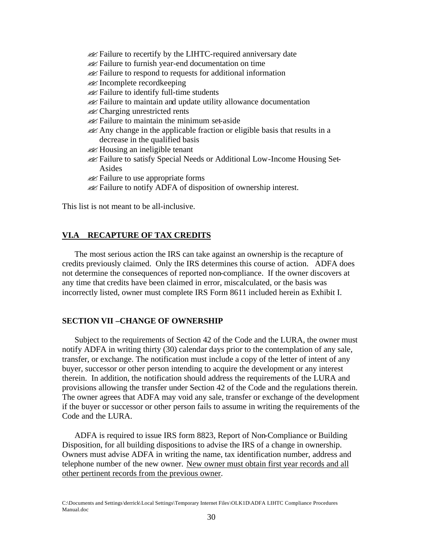- **Example 1** Failure to recertify by the LIHTC-required anniversary date ??Failure to furnish year-end documentation on time ??Failure to respond to requests for additional information  $\mathscr{A}$  Incomplete recordkeeping ??Failure to identify full-time students ??Failure to maintain and update utility allowance documentation  $\ll$  Charging unrestricted rents  $\mathscr{A}$  Failure to maintain the minimum set-aside **EXANGER 18** Any change in the applicable fraction or eligible basis that results in a decrease in the qualified basis  $\mathscr{A}$  Housing an ineligible tenant ??Failure to satisfy Special Needs or Additional Low-Income Housing Set-Asides
- **Example 18** Failure to use appropriate forms
- **Example 1** Failure to notify ADFA of disposition of ownership interest.

This list is not meant to be all-inclusive.

## **VI.A RECAPTURE OF TAX CREDITS**

The most serious action the IRS can take against an ownership is the recapture of credits previously claimed. Only the IRS determines this course of action. ADFA does not determine the consequences of reported non-compliance. If the owner discovers at any time that credits have been claimed in error, miscalculated, or the basis was incorrectly listed, owner must complete IRS Form 8611 included herein as Exhibit I.

#### **SECTION VII –CHANGE OF OWNERSHIP**

Subject to the requirements of Section 42 of the Code and the LURA, the owner must notify ADFA in writing thirty (30) calendar days prior to the contemplation of any sale, transfer, or exchange. The notification must include a copy of the letter of intent of any buyer, successor or other person intending to acquire the development or any interest therein. In addition, the notification should address the requirements of the LURA and provisions allowing the transfer under Section 42 of the Code and the regulations therein. The owner agrees that ADFA may void any sale, transfer or exchange of the development if the buyer or successor or other person fails to assume in writing the requirements of the Code and the LURA.

ADFA is required to issue IRS form 8823, Report of Non-Compliance or Building Disposition, for all building dispositions to advise the IRS of a change in ownership. Owners must advise ADFA in writing the name, tax identification number, address and telephone number of the new owner. New owner must obtain first year records and all other pertinent records from the previous owner.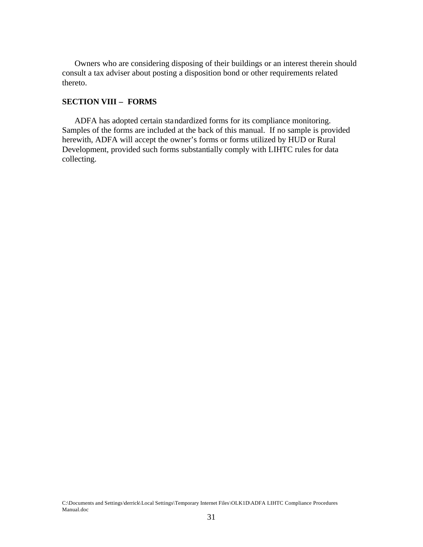Owners who are considering disposing of their buildings or an interest therein should consult a tax adviser about posting a disposition bond or other requirements related thereto.

## **SECTION VIII – FORMS**

ADFA has adopted certain standardized forms for its compliance monitoring. Samples of the forms are included at the back of this manual. If no sample is provided herewith, ADFA will accept the owner's forms or forms utilized by HUD or Rural Development, provided such forms substantially comply with LIHTC rules for data collecting.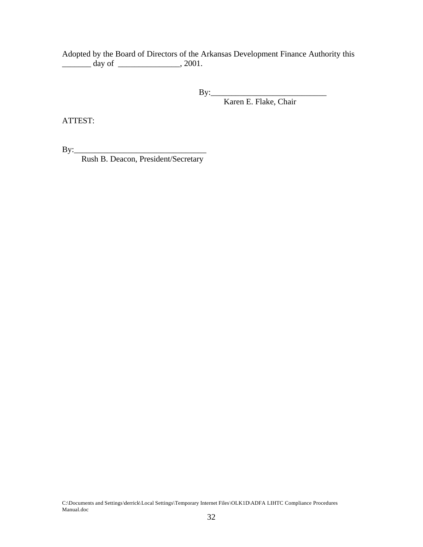Adopted by the Board of Directors of the Arkansas Development Finance Authority this  $\frac{1}{\text{day of}}$   $\frac{1}{\text{day of}}$   $\frac{1}{\text{day of}}$ 

By:\_\_\_\_\_\_\_\_\_\_\_\_\_\_\_\_\_\_\_\_\_\_\_\_\_\_\_\_

Karen E. Flake, Chair

ATTEST:

By:\_\_\_\_\_\_\_\_\_\_\_\_\_\_\_\_\_\_\_\_\_\_\_\_\_\_\_\_\_\_\_\_

Rush B. Deacon, President/Secretary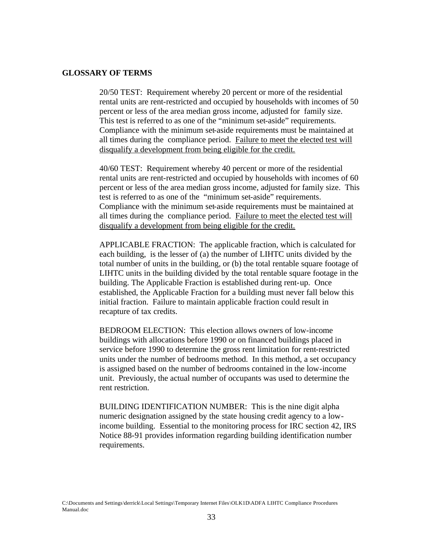#### **GLOSSARY OF TERMS**

20/50 TEST: Requirement whereby 20 percent or more of the residential rental units are rent-restricted and occupied by households with incomes of 50 percent or less of the area median gross income, adjusted for family size. This test is referred to as one of the "minimum set-aside" requirements. Compliance with the minimum set-aside requirements must be maintained at all times during the compliance period. Failure to meet the elected test will disqualify a development from being eligible for the credit.

40/60 TEST: Requirement whereby 40 percent or more of the residential rental units are rent-restricted and occupied by households with incomes of 60 percent or less of the area median gross income, adjusted for family size. This test is referred to as one of the "minimum set-aside" requirements. Compliance with the minimum set-aside requirements must be maintained at all times during the compliance period. Failure to meet the elected test will disqualify a development from being eligible for the credit.

APPLICABLE FRACTION: The applicable fraction, which is calculated for each building, is the lesser of (a) the number of LIHTC units divided by the total number of units in the building, or (b) the total rentable square footage of LIHTC units in the building divided by the total rentable square footage in the building. The Applicable Fraction is established during rent-up. Once established, the Applicable Fraction for a building must never fall below this initial fraction. Failure to maintain applicable fraction could result in recapture of tax credits.

BEDROOM ELECTION: This election allows owners of low-income buildings with allocations before 1990 or on financed buildings placed in service before 1990 to determine the gross rent limitation for rent-restricted units under the number of bedrooms method. In this method, a set occupancy is assigned based on the number of bedrooms contained in the low-income unit. Previously, the actual number of occupants was used to determine the rent restriction.

BUILDING IDENTIFICATION NUMBER: This is the nine digit alpha numeric designation assigned by the state housing credit agency to a lowincome building. Essential to the monitoring process for IRC section 42, IRS Notice 88-91 provides information regarding building identification number requirements.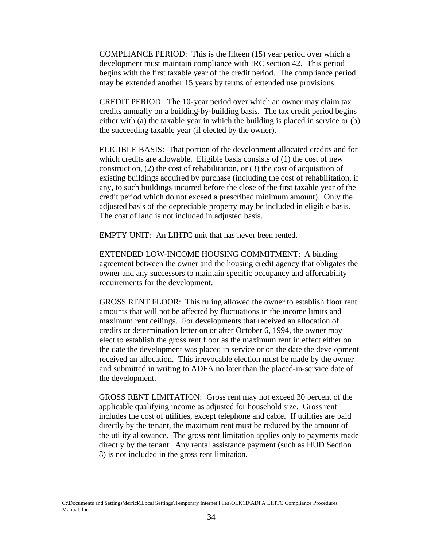COMPLIANCE PERIOD: This is the fifteen (15) year period over which a development must maintain compliance with IRC section 42. This period begins with the first taxable year of the credit period. The compliance period may be extended another 15 years by terms of extended use provisions.

CREDIT PERIOD: The 10-year period over which an owner may claim tax credits annually on a building-by-building basis. The tax credit period begins either with (a) the taxable year in which the building is placed in service or (b) the succeeding taxable year (if elected by the owner).

ELIGIBLE BASIS: That portion of the development allocated credits and for which credits are allowable. Eligible basis consists of (1) the cost of new construction, (2) the cost of rehabilitation, or (3) the cost of acquisition of existing buildings acquired by purchase (including the cost of rehabilitation, if any, to such buildings incurred before the close of the first taxable year of the credit period which do not exceed a prescribed minimum amount). Only the adjusted basis of the depreciable property may be included in eligible basis. The cost of land is not included in adjusted basis.

EMPTY UNIT: An LIHTC unit that has never been rented.

EXTENDED LOW-INCOME HOUSING COMMITMENT: A binding agreement between the owner and the housing credit agency that obligates the owner and any successors to maintain specific occupancy and affordability requirements for the development.

GROSS RENT FLOOR: This ruling allowed the owner to establish floor rent amounts that will not be affected by fluctuations in the income limits and maximum rent ceilings. For developments that received an allocation of credits or determination letter on or after October 6, 1994, the owner may elect to establish the gross rent floor as the maximum rent in effect either on the date the development was placed in service or on the date the development received an allocation. This irrevocable election must be made by the owner and submitted in writing to ADFA no later than the placed-in-service date of the development.

GROSS RENT LIMITATION: Gross rent may not exceed 30 percent of the applicable qualifying income as adjusted for household size. Gross rent includes the cost of utilities, except telephone and cable. If utilities are paid directly by the tenant, the maximum rent must be reduced by the amount of the utility allowance. The gross rent limitation applies only to payments made directly by the tenant. Any rental assistance payment (such as HUD Section 8) is not included in the gross rent limitation.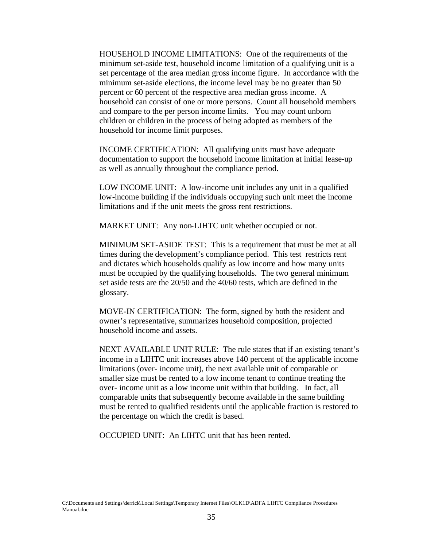HOUSEHOLD INCOME LIMITATIONS: One of the requirements of the minimum set-aside test, household income limitation of a qualifying unit is a set percentage of the area median gross income figure. In accordance with the minimum set-aside elections, the income level may be no greater than 50 percent or 60 percent of the respective area median gross income. A household can consist of one or more persons. Count all household members and compare to the per person income limits. You may count unborn children or children in the process of being adopted as members of the household for income limit purposes.

INCOME CERTIFICATION: All qualifying units must have adequate documentation to support the household income limitation at initial lease-up as well as annually throughout the compliance period.

LOW INCOME UNIT: A low-income unit includes any unit in a qualified low-income building if the individuals occupying such unit meet the income limitations and if the unit meets the gross rent restrictions.

MARKET UNIT: Any non-LIHTC unit whether occupied or not.

MINIMUM SET-ASIDE TEST: This is a requirement that must be met at all times during the development's compliance period. This test restricts rent and dictates which households qualify as low income and how many units must be occupied by the qualifying households. The two general minimum set aside tests are the 20/50 and the 40/60 tests, which are defined in the glossary.

MOVE-IN CERTIFICATION: The form, signed by both the resident and owner's representative, summarizes household composition, projected household income and assets.

NEXT AVAILABLE UNIT RULE: The rule states that if an existing tenant's income in a LIHTC unit increases above 140 percent of the applicable income limitations (over- income unit), the next available unit of comparable or smaller size must be rented to a low income tenant to continue treating the over- income unit as a low income unit within that building. In fact, all comparable units that subsequently become available in the same building must be rented to qualified residents until the applicable fraction is restored to the percentage on which the credit is based.

OCCUPIED UNIT: An LIHTC unit that has been rented.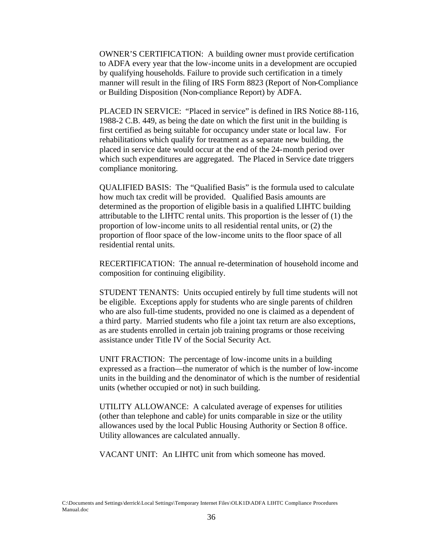OWNER'S CERTIFICATION: A building owner must provide certification to ADFA every year that the low-income units in a development are occupied by qualifying households. Failure to provide such certification in a timely manner will result in the filing of IRS Form 8823 (Report of Non-Compliance or Building Disposition (Non-compliance Report) by ADFA.

PLACED IN SERVICE: "Placed in service" is defined in IRS Notice 88-116, 1988-2 C.B. 449, as being the date on which the first unit in the building is first certified as being suitable for occupancy under state or local law. For rehabilitations which qualify for treatment as a separate new building, the placed in service date would occur at the end of the 24-month period over which such expenditures are aggregated. The Placed in Service date triggers compliance monitoring.

QUALIFIED BASIS: The "Qualified Basis" is the formula used to calculate how much tax credit will be provided. Qualified Basis amounts are determined as the proportion of eligible basis in a qualified LIHTC building attributable to the LIHTC rental units. This proportion is the lesser of (1) the proportion of low-income units to all residential rental units, or (2) the proportion of floor space of the low-income units to the floor space of all residential rental units.

RECERTIFICATION: The annual re-determination of household income and composition for continuing eligibility.

STUDENT TENANTS: Units occupied entirely by full time students will not be eligible. Exceptions apply for students who are single parents of children who are also full-time students, provided no one is claimed as a dependent of a third party. Married students who file a joint tax return are also exceptions, as are students enrolled in certain job training programs or those receiving assistance under Title IV of the Social Security Act.

UNIT FRACTION: The percentage of low-income units in a building expressed as a fraction—the numerator of which is the number of low-income units in the building and the denominator of which is the number of residential units (whether occupied or not) in such building.

UTILITY ALLOWANCE: A calculated average of expenses for utilities (other than telephone and cable) for units comparable in size or the utility allowances used by the local Public Housing Authority or Section 8 office. Utility allowances are calculated annually.

VACANT UNIT: An LIHTC unit from which someone has moved.